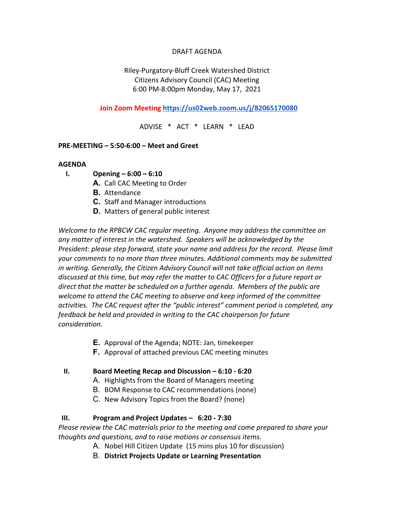### DRAFT AGENDA

## Riley-Purgatory-Bluff Creek Watershed District Citizens Advisory Council (CAC) Meeting 6:00 PM-8:00pm Monday, May 17, 2021

 **Join Zoom Meeting https://us02web.zoom.us/j/82065170080**

ADVISE \* ACT \* LEARN \* LEAD

### **PRE-MEETING – 5:50-6:00 – Meet and Greet**

#### **AGENDA**

- **I. Opening – 6:00 – 6:10**
	- **A.** Call CAC Meeting to Order
	- **B.** Attendance
	- **C.** Staff and Manager introductions
	- **D.** Matters of general public interest

*Welcome to the RPBCW CAC regular meeting. Anyone may address the committee on any matter of interest in the watershed. Speakers will be acknowledged by the President: please step forward, state your name and address for the record. Please limit your comments to no more than three minutes. Additional comments may be submitted in writing. Generally, the Citizen Advisory Council will not take official action on items discussed at this time, but may refer the matter to CAC Officers for a future report or direct that the matter be scheduled on a further agenda. Members of the public are welcome to attend the CAC meeting to observe and keep informed of the committee activities. The CAC request after the "public interest" comment period is completed, any feedback be held and provided in writing to the CAC chairperson for future consideration.*

- **E.** Approval of the Agenda; NOTE: Jan, timekeeper
- **F.** Approval of attached previous CAC meeting minutes

### **II. Board Meeting Recap and Discussion – 6:10 - 6:20**

- A. Highlights from the Board of Managers meeting
- B. BOM Response to CAC recommendations (none)
- C. New Advisory Topics from the Board? (none)

### **III. Program and Project Updates – 6:20 - 7:30**

*Please review the CAC materials prior to the meeting and come prepared to share your thoughts and questions, and to raise motions or consensus items.*

- A. Nobel Hill Citizen Update (15 mins plus 10 for discussion)
- B. **District Projects Update or Learning Presentation**